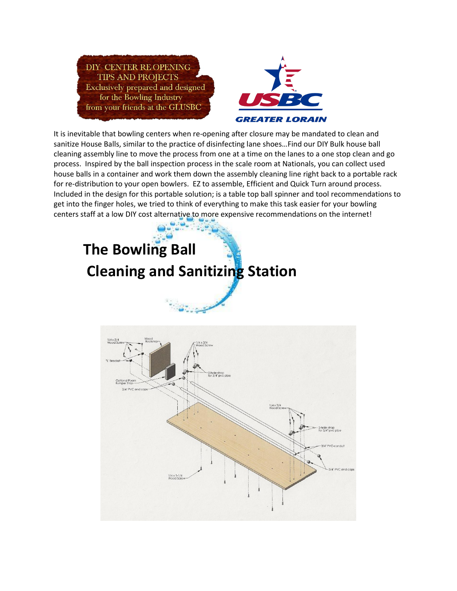



It is inevitable that bowling centers when re-opening after closure may be mandated to clean and sanitize House Balls, similar to the practice of disinfecting lane shoes…Find our DIY Bulk house ball cleaning assembly line to move the process from one at a time on the lanes to a one stop clean and go process. Inspired by the ball inspection process in the scale room at Nationals, you can collect used house balls in a container and work them down the assembly cleaning line right back to a portable rack for re-distribution to your open bowlers. EZ to assemble, Efficient and Quick Turn around process. Included in the design for this portable solution; is a table top ball spinner and tool recommendations to get into the finger holes, we tried to think of everything to make this task easier for your bowling centers staff at a low DIY cost alternative to more expensive recommendations on the internet!

## **The Bowling Ball Cleaning and Sanitizing Station**

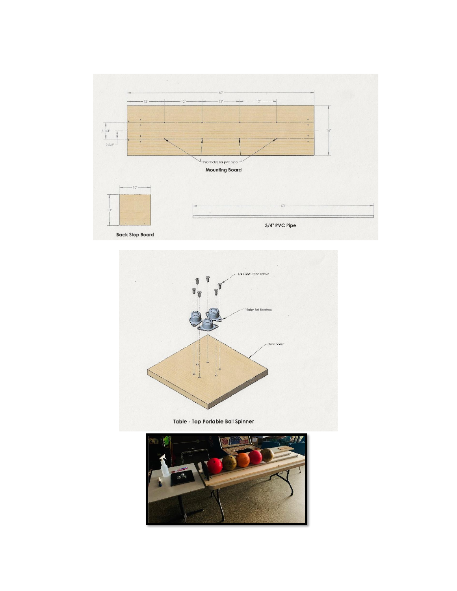



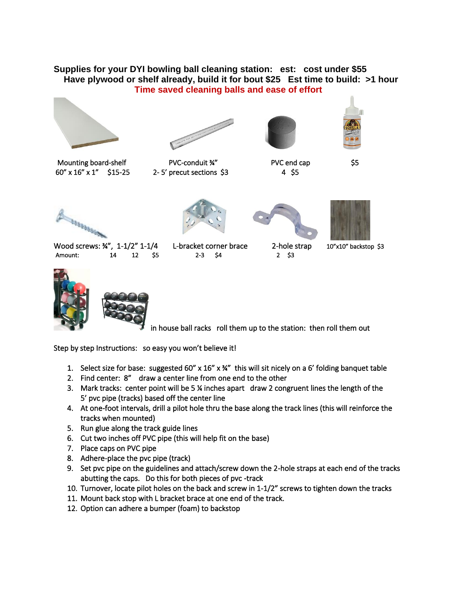## **Supplies for your DYI bowling ball cleaning station: est: cost under \$55 Have plywood or shelf already, build it for bout \$25 Est time to build: >1 hour Time saved cleaning balls and ease of effort**









Mounting board-shelf PVC-conduit ¾" PVC end cap \$5 60" x 16" x 1" \$15-25 2- 5' precut sections \$3 4 \$5



 Wood screws: ¾", 1-1/2" 1-1/4 L-bracket corner brace  $\qquad$  2-hole strap  $\qquad$  10"x10" backstop \$3 Amount: 14 12 \$5 2-3 \$4 2 \$3









in house ball racks roll them up to the station: then roll them out

Step by step Instructions: so easy you won't believe it!

- 1. Select size for base: suggested 60" x  $16"$  x  $\frac{24"}{101}$  sit nicely on a 6' folding banquet table
- 2. Find center: 8" draw a center line from one end to the other
- 3. Mark tracks: center point will be 5 ¼ inches apart draw 2 congruent lines the length of the 5' pvc pipe (tracks) based off the center line
- 4. At one-foot intervals, drill a pilot hole thru the base along the track lines (this will reinforce the tracks when mounted)
- 5. Run glue along the track guide lines
- 6. Cut two inches off PVC pipe (this will help fit on the base)
- 7. Place caps on PVC pipe
- 8. Adhere-place the pvc pipe (track)
- 9. Set pvc pipe on the guidelines and attach/screw down the 2-hole straps at each end of the tracks abutting the caps. Do this for both pieces of pvc -track
- 10. Turnover, locate pilot holes on the back and screw in 1-1/2" screws to tighten down the tracks
- 11. Mount back stop with L bracket brace at one end of the track.
- 12. Option can adhere a bumper (foam) to backstop